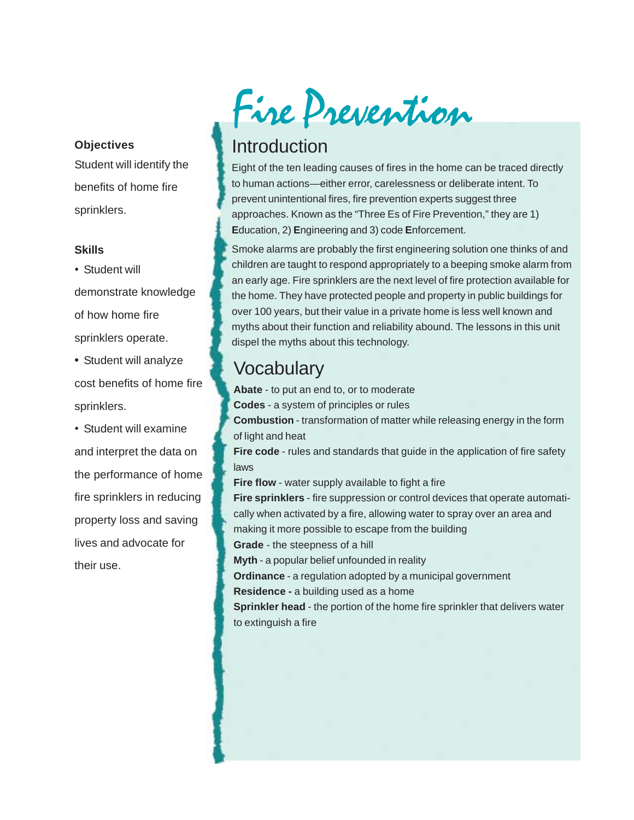#### **Objectives**

Student will identify the benefits of home fire sprinklers.

#### **Skills**

• Student will demonstrate knowledge of how home fire sprinklers operate.

**•** Student will analyze cost benefits of home fire sprinklers.

• Student will examine and interpret the data on the performance of home fire sprinklers in reducing property loss and saving lives and advocate for their use.

# Fire Prevention

# Introduction

Eight of the ten leading causes of fires in the home can be traced directly to human actions—either error, carelessness or deliberate intent. To prevent unintentional fires, fire prevention experts suggest three approaches. Known as the "Three Es of Fire Prevention," they are 1) **E**ducation, 2) **E**ngineering and 3) code **E**nforcement.

Smoke alarms are probably the first engineering solution one thinks of and children are taught to respond appropriately to a beeping smoke alarm from an early age. Fire sprinklers are the next level of fire protection available for the home. They have protected people and property in public buildings for over 100 years, but their value in a private home is less well known and myths about their function and reliability abound. The lessons in this unit dispel the myths about this technology.

# **Vocabulary**

**Abate** - to put an end to, or to moderate **Codes** - a system of principles or rules **Combustion** - transformation of matter while releasing energy in the form of light and heat **Fire code** - rules and standards that guide in the application of fire safety laws **Fire flow** - water supply available to fight a fire **Fire sprinklers** - fire suppression or control devices that operate automatically when activated by a fire, allowing water to spray over an area and making it more possible to escape from the building

**Grade** - the steepness of a hill

**Myth** - a popular belief unfounded in reality

**Ordinance** - a regulation adopted by a municipal government

**Residence -** a building used as a home

**Sprinkler head** - the portion of the home fire sprinkler that delivers water to extinguish a fire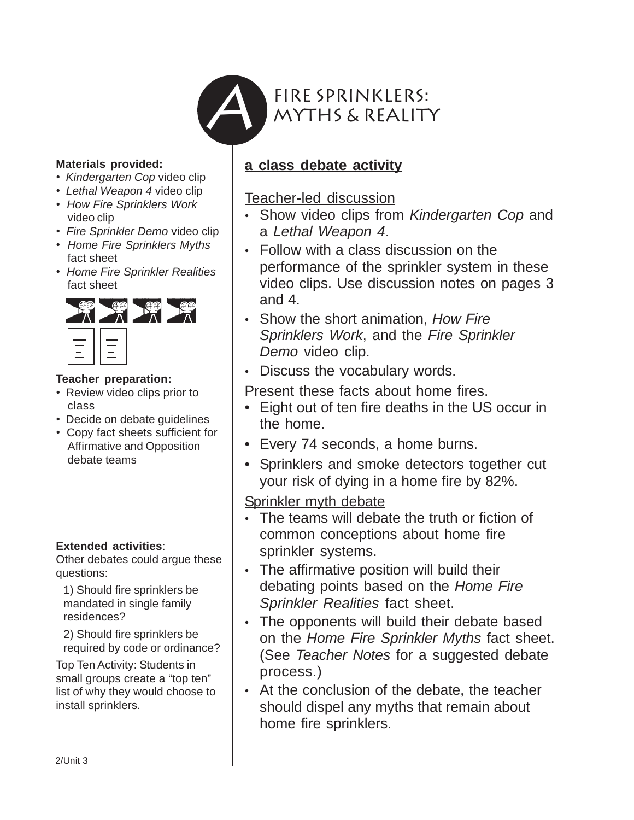

#### **Materials provided:**

- *Kindergarten Cop* video clip
- *Lethal Weapon 4* video clip
- *How Fire Sprinklers Work* video clip
- *Fire Sprinkler Demo* video clip
- *Home Fire Sprinklers Myths* fact sheet
- *Home Fire Sprinkler Realities* fact sheet



#### **Teacher preparation:**

- Review video clips prior to class
- Decide on debate guidelines
- Copy fact sheets sufficient for Affirmative and Opposition debate teams

## **Extended activities**:

Other debates could argue these questions:

1) Should fire sprinklers be mandated in single family residences?

2) Should fire sprinklers be required by code or ordinance?

Top Ten Activity: Students in small groups create a "top ten" list of why they would choose to install sprinklers.

# **a class debate activity**

Teacher-led discussion

- Show video clips from *Kindergarten Cop* and a *Lethal Weapon 4*.
- Follow with a class discussion on the performance of the sprinkler system in these video clips. Use discussion notes on pages 3 and 4.
- Show the short animation, *How Fire Sprinklers Work*, and the *Fire Sprinkler Demo* video clip.
- Discuss the vocabulary words.

Present these facts about home fires.

- Eight out of ten fire deaths in the US occur in the home.
- Every 74 seconds, a home burns.
- Sprinklers and smoke detectors together cut your risk of dying in a home fire by 82%.

Sprinkler myth debate

- The teams will debate the truth or fiction of common conceptions about home fire sprinkler systems.
- The affirmative position will build their debating points based on the *Home Fire Sprinkler Realities* fact sheet.
- The opponents will build their debate based on the *Home Fire Sprinkler Myths* fact sheet. (See *Teacher Notes* for a suggested debate process.)
- At the conclusion of the debate, the teacher should dispel any myths that remain about home fire sprinklers.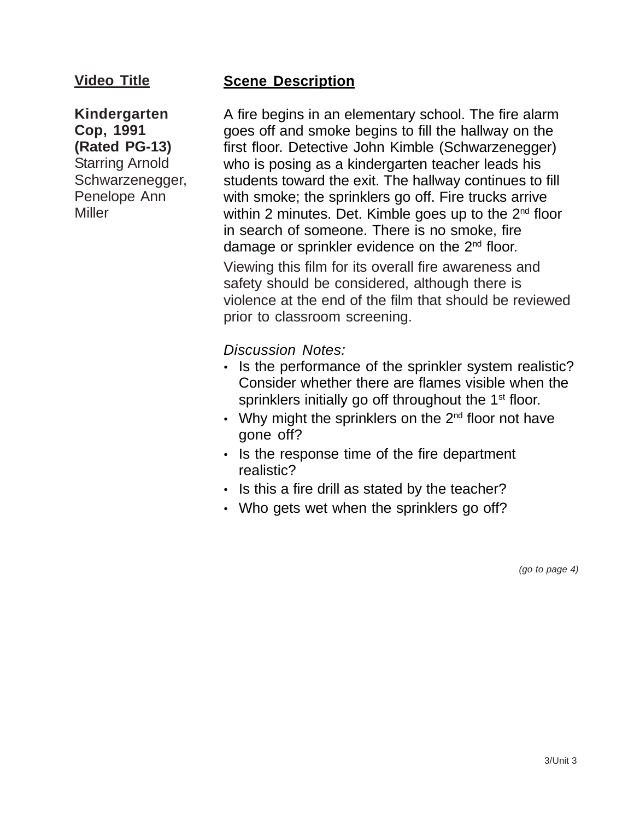# **Video Title**

**Kindergarten Cop, 1991 (Rated PG-13)** Starring Arnold Schwarzenegger, Penelope Ann Miller

# **Scene Description**

A fire begins in an elementary school. The fire alarm goes off and smoke begins to fill the hallway on the first floor. Detective John Kimble (Schwarzenegger) who is posing as a kindergarten teacher leads his students toward the exit. The hallway continues to fill with smoke; the sprinklers go off. Fire trucks arrive within 2 minutes. Det. Kimble goes up to the  $2<sup>nd</sup>$  floor in search of someone. There is no smoke, fire damage or sprinkler evidence on the  $2<sup>nd</sup>$  floor. Viewing this film for its overall fire awareness and safety should be considered, although there is violence at the end of the film that should be reviewed prior to classroom screening.

*Discussion Notes:*

- Is the performance of the sprinkler system realistic? Consider whether there are flames visible when the sprinklers initially go off throughout the 1<sup>st</sup> floor.
- Why might the sprinklers on the  $2^{nd}$  floor not have gone off?
- Is the response time of the fire department realistic?
- Is this a fire drill as stated by the teacher?
- Who gets wet when the sprinklers go off?

*(go to page 4)*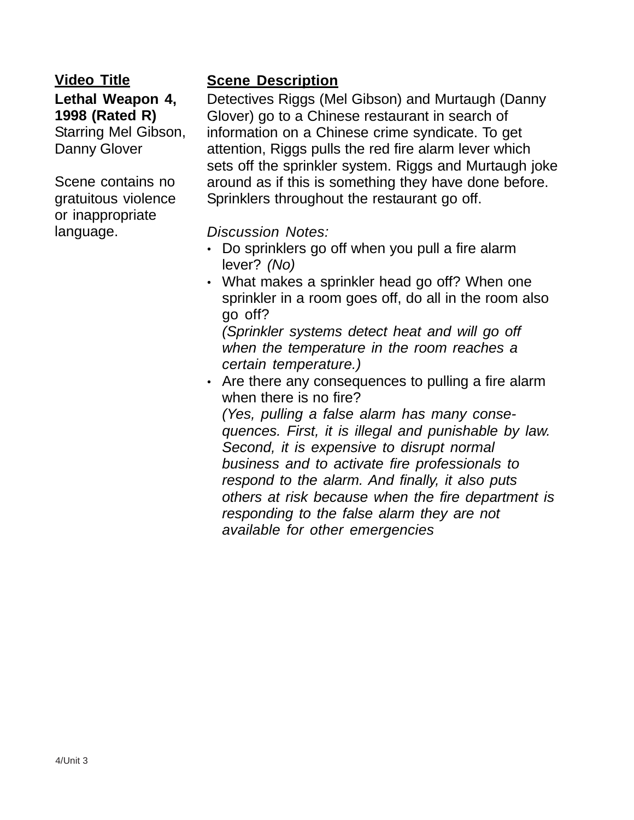# **Video Title Lethal Weapon 4, 1998 (Rated R)** Starring Mel Gibson, Danny Glover

Scene contains no gratuitous violence or inappropriate language.

# **Scene Description**

Detectives Riggs (Mel Gibson) and Murtaugh (Danny Glover) go to a Chinese restaurant in search of information on a Chinese crime syndicate. To get attention, Riggs pulls the red fire alarm lever which sets off the sprinkler system. Riggs and Murtaugh joke around as if this is something they have done before. Sprinklers throughout the restaurant go off.

*Discussion Notes:*

- Do sprinklers go off when you pull a fire alarm lever? *(No)*
- What makes a sprinkler head go off? When one sprinkler in a room goes off, do all in the room also go off?

*(Sprinkler systems detect heat and will go off when the temperature in the room reaches a certain temperature.)*

• Are there any consequences to pulling a fire alarm when there is no fire? *(Yes, pulling a false alarm has many conse-*

*quences. First, it is illegal and punishable by law. Second, it is expensive to disrupt normal business and to activate fire professionals to respond to the alarm. And finally, it also puts others at risk because when the fire department is responding to the false alarm they are not available for other emergencies*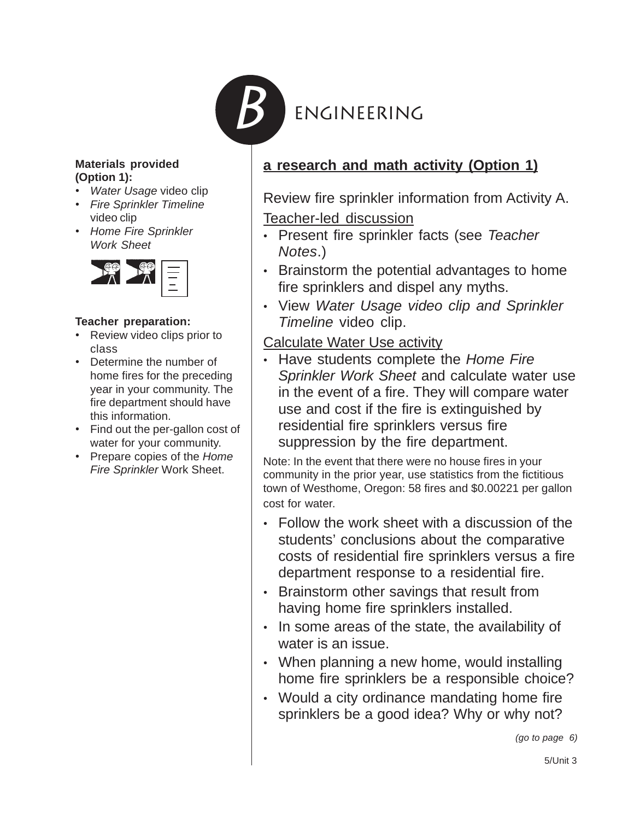

#### **Materials provided (Option 1):**

- *Water Usage* video clip
- *Fire Sprinkler Timeline* video clip
- *Home Fire Sprinkler Work Sheet*



## **Teacher preparation:**

- Review video clips prior to class
- Determine the number of home fires for the preceding year in your community. The fire department should have this information.
- Find out the per-gallon cost of water for your community.
- Prepare copies of the *Home Fire Sprinkler* Work Sheet.

# **a research and math activity (Option 1)**

Review fire sprinkler information from Activity A. Teacher-led discussion

- Present fire sprinkler facts (see *Teacher Notes*.)
- Brainstorm the potential advantages to home fire sprinklers and dispel any myths.
- View *Water Usage video clip and Sprinkler Timeline* video clip.

Calculate Water Use activity

• Have students complete the *Home Fire Sprinkler Work Sheet* and calculate water use in the event of a fire. They will compare water use and cost if the fire is extinguished by residential fire sprinklers versus fire suppression by the fire department.

Note: In the event that there were no house fires in your community in the prior year, use statistics from the fictitious town of Westhome, Oregon: 58 fires and \$0.00221 per gallon cost for water.

- Follow the work sheet with a discussion of the students' conclusions about the comparative costs of residential fire sprinklers versus a fire department response to a residential fire.
- Brainstorm other savings that result from having home fire sprinklers installed.
- In some areas of the state, the availability of water is an issue.
- When planning a new home, would installing home fire sprinklers be a responsible choice?
- Would a city ordinance mandating home fire sprinklers be a good idea? Why or why not?

*(go to page 6)*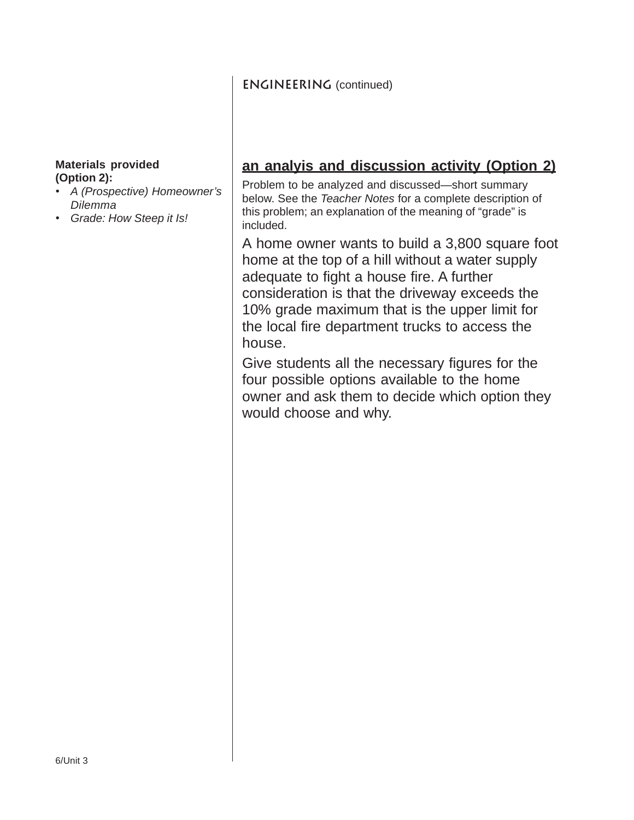## **ENGINEERING** (continued)

#### **Materials provided (Option 2):**

- *A (Prospective) Homeowner's Dilemma*
- *Grade: How Steep it Is!*

# **an analyis and discussion activity (Option 2)**

Problem to be analyzed and discussed—short summary below. See the *Teacher Notes* for a complete description of this problem; an explanation of the meaning of "grade" is included.

A home owner wants to build a 3,800 square foot home at the top of a hill without a water supply adequate to fight a house fire. A further consideration is that the driveway exceeds the 10% grade maximum that is the upper limit for the local fire department trucks to access the house.

Give students all the necessary figures for the four possible options available to the home owner and ask them to decide which option they would choose and why.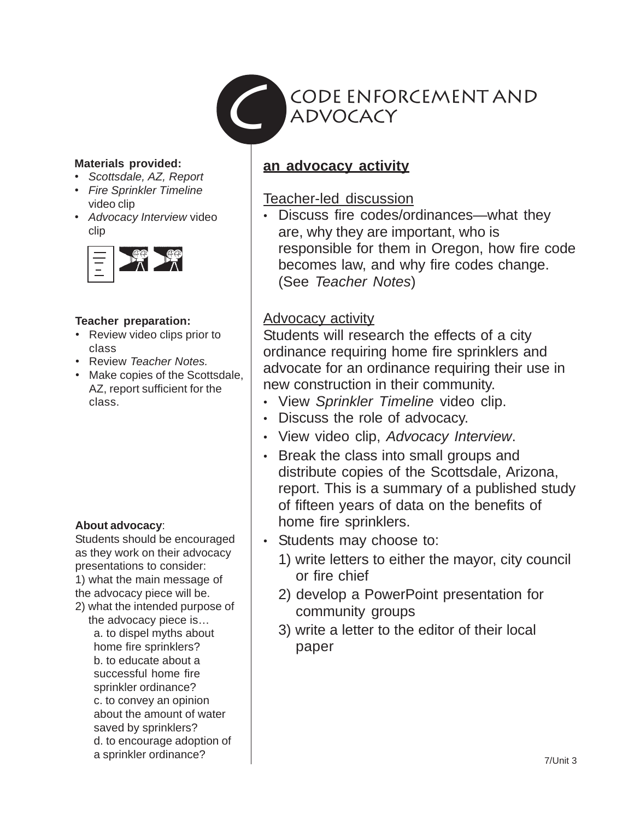

#### **Materials provided:**

- *Scottsdale, AZ, Report*
- *Fire Sprinkler Timeline* video clip
- *Advocacy Interview* video clip



#### **Teacher preparation:**

- Review video clips prior to class
- Review *Teacher Notes.*
- Make copies of the Scottsdale, AZ, report sufficient for the class.

#### **About advocacy**:

Students should be encouraged as they work on their advocacy presentations to consider: 1) what the main message of the advocacy piece will be.

2) what the intended purpose of the advocacy piece is… a. to dispel myths about home fire sprinklers? b. to educate about a successful home fire sprinkler ordinance? c. to convey an opinion about the amount of water saved by sprinklers? d. to encourage adoption of a sprinkler ordinance?

# **an advocacy activity**

# Teacher-led discussion

• Discuss fire codes/ordinances—what they are, why they are important, who is responsible for them in Oregon, how fire code becomes law, and why fire codes change. (See *Teacher Notes*)

# Advocacy activity

Students will research the effects of a city ordinance requiring home fire sprinklers and advocate for an ordinance requiring their use in new construction in their community.

- View *Sprinkler Timeline* video clip.
- Discuss the role of advocacy.
- View video clip, *Advocacy Interview*.
- Break the class into small groups and distribute copies of the Scottsdale, Arizona, report. This is a summary of a published study of fifteen years of data on the benefits of home fire sprinklers.
- Students may choose to:
	- 1) write letters to either the mayor, city council or fire chief
	- 2) develop a PowerPoint presentation for community groups
	- 3) write a letter to the editor of their local paper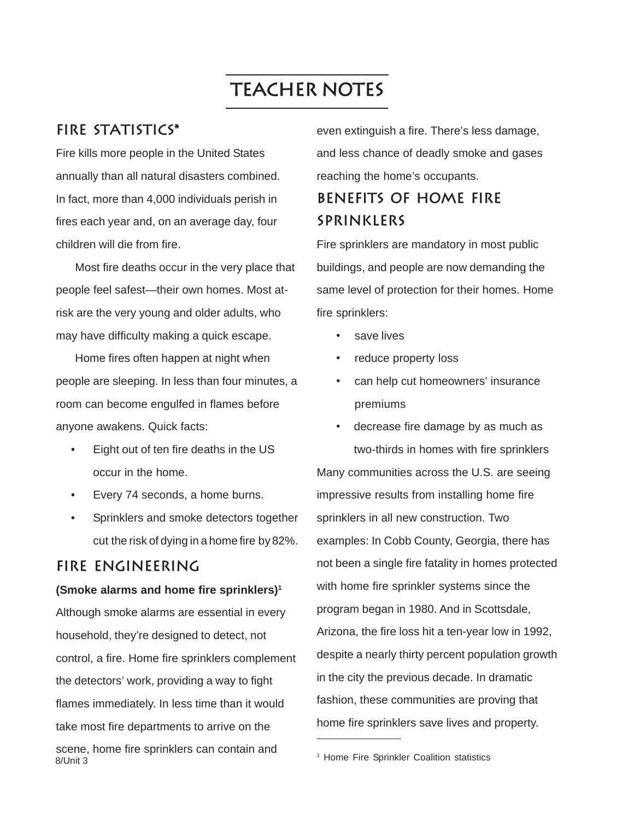# **Teacher Notes**

## **Fire statistics\***

Fire kills more people in the United States annually than all natural disasters combined. In fact, more than 4,000 individuals perish in fires each year and, on an average day, four children will die from fire.

Most fire deaths occur in the very place that people feel safest—their own homes. Most atrisk are the very young and older adults, who may have difficulty making a quick escape.

Home fires often happen at night when people are sleeping. In less than four minutes, a room can become engulfed in flames before anyone awakens. Quick facts:

- Eight out of ten fire deaths in the US occur in the home.
- Every 74 seconds, a home burns.
- Sprinklers and smoke detectors together cut the risk of dying in a home fire by 82%.

# **Fire engineering**

#### **(Smoke alarms and home fire sprinklers)1**

8/Unit 3 Although smoke alarms are essential in every household, they're designed to detect, not control, a fire. Home fire sprinklers complement the detectors' work, providing a way to fight flames immediately. In less time than it would take most fire departments to arrive on the scene, home fire sprinklers can contain and

even extinguish a fire. There's less damage, and less chance of deadly smoke and gases reaching the home's occupants.

# **Benefits of home fire sprinklers**

Fire sprinklers are mandatory in most public buildings, and people are now demanding the same level of protection for their homes. Home fire sprinklers:

- save lives
- reduce property loss
- can help cut homeowners' insurance premiums

decrease fire damage by as much as two-thirds in homes with fire sprinklers Many communities across the U.S. are seeing impressive results from installing home fire sprinklers in all new construction. Two examples: In Cobb County, Georgia, there has not been a single fire fatality in homes protected with home fire sprinkler systems since the program began in 1980. And in Scottsdale, Arizona, the fire loss hit a ten-year low in 1992, despite a nearly thirty percent population growth in the city the previous decade. In dramatic fashion, these communities are proving that home fire sprinklers save lives and property.

<sup>&</sup>lt;sup>1</sup> Home Fire Sprinkler Coalition statistics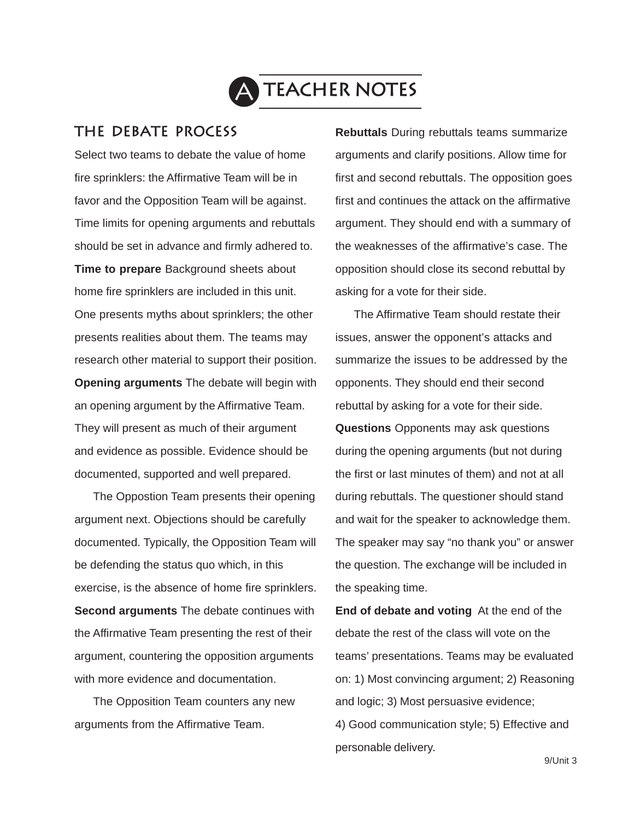

## **The debate process**

Select two teams to debate the value of home fire sprinklers: the Affirmative Team will be in favor and the Opposition Team will be against. Time limits for opening arguments and rebuttals should be set in advance and firmly adhered to. **Time to prepare** Background sheets about home fire sprinklers are included in this unit. One presents myths about sprinklers; the other presents realities about them. The teams may research other material to support their position. **Opening arguments** The debate will begin with an opening argument by the Affirmative Team. They will present as much of their argument and evidence as possible. Evidence should be documented, supported and well prepared.

The Oppostion Team presents their opening argument next. Objections should be carefully documented. Typically, the Opposition Team will be defending the status quo which, in this exercise, is the absence of home fire sprinklers. **Second arguments** The debate continues with the Affirmative Team presenting the rest of their argument, countering the opposition arguments with more evidence and documentation.

The Opposition Team counters any new arguments from the Affirmative Team.

**Rebuttals** During rebuttals teams summarize arguments and clarify positions. Allow time for first and second rebuttals. The opposition goes first and continues the attack on the affirmative argument. They should end with a summary of the weaknesses of the affirmative's case. The opposition should close its second rebuttal by asking for a vote for their side.

The Affirmative Team should restate their issues, answer the opponent's attacks and summarize the issues to be addressed by the opponents. They should end their second rebuttal by asking for a vote for their side. **Questions** Opponents may ask questions during the opening arguments (but not during the first or last minutes of them) and not at all during rebuttals. The questioner should stand and wait for the speaker to acknowledge them. The speaker may say "no thank you" or answer the question. The exchange will be included in the speaking time.

**End of debate and voting** At the end of the debate the rest of the class will vote on the teams' presentations. Teams may be evaluated on: 1) Most convincing argument; 2) Reasoning and logic; 3) Most persuasive evidence; 4) Good communication style; 5) Effective and personable delivery.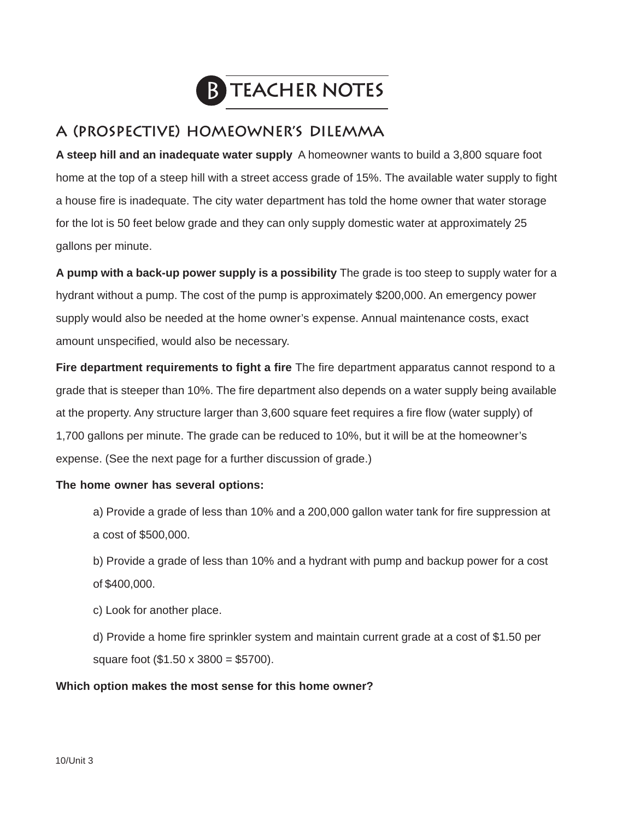

# **A (prospective) homeowner's dilemma**

**A steep hill and an inadequate water supply** A homeowner wants to build a 3,800 square foot home at the top of a steep hill with a street access grade of 15%. The available water supply to fight a house fire is inadequate. The city water department has told the home owner that water storage for the lot is 50 feet below grade and they can only supply domestic water at approximately 25 gallons per minute.

**A pump with a back-up power supply is a possibility** The grade is too steep to supply water for a hydrant without a pump. The cost of the pump is approximately \$200,000. An emergency power supply would also be needed at the home owner's expense. Annual maintenance costs, exact amount unspecified, would also be necessary.

**Fire department requirements to fight a fire** The fire department apparatus cannot respond to a grade that is steeper than 10%. The fire department also depends on a water supply being available at the property. Any structure larger than 3,600 square feet requires a fire flow (water supply) of 1,700 gallons per minute. The grade can be reduced to 10%, but it will be at the homeowner's expense. (See the next page for a further discussion of grade.)

#### **The home owner has several options:**

- a) Provide a grade of less than 10% and a 200,000 gallon water tank for fire suppression at a cost of \$500,000.
- b) Provide a grade of less than 10% and a hydrant with pump and backup power for a cost of \$400,000.
- c) Look for another place.
- d) Provide a home fire sprinkler system and maintain current grade at a cost of \$1.50 per square foot (\$1.50 x 3800 = \$5700).

#### **Which option makes the most sense for this home owner?**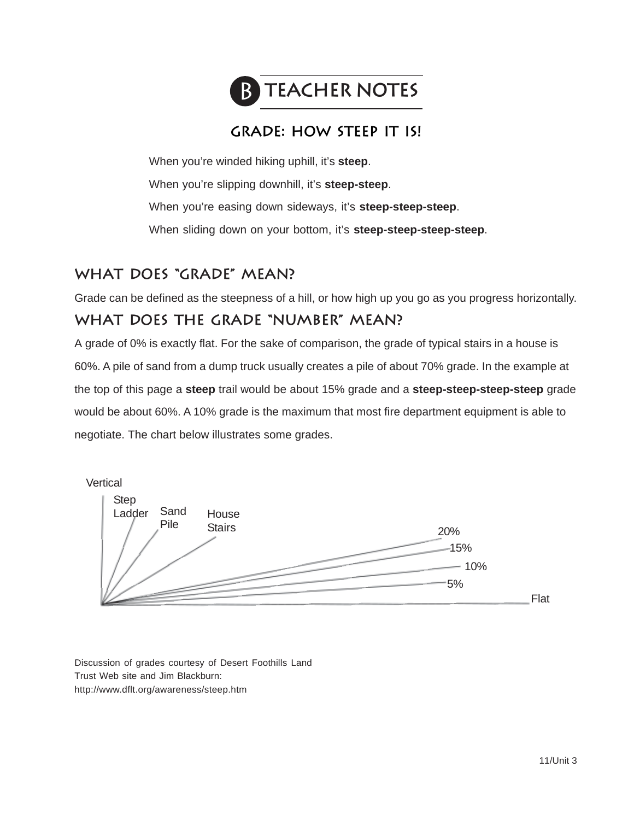

# **grade: How steep it is!**

When you're winded hiking uphill, it's **steep**. When you're slipping downhill, it's **steep-steep**. When you're easing down sideways, it's **steep-steep-steep**. When sliding down on your bottom, it's **steep-steep-steep-steep**.

# **What does "grade" mean?**

Grade can be defined as the steepness of a hill, or how high up you go as you progress horizontally.

# **What does the grade "number" mean?**

A grade of 0% is exactly flat. For the sake of comparison, the grade of typical stairs in a house is 60%. A pile of sand from a dump truck usually creates a pile of about 70% grade. In the example at the top of this page a **steep** trail would be about 15% grade and a **steep-steep-steep-steep** grade would be about 60%. A 10% grade is the maximum that most fire department equipment is able to negotiate. The chart below illustrates some grades.



Discussion of grades courtesy of Desert Foothills Land Trust Web site and Jim Blackburn: http://www.dflt.org/awareness/steep.htm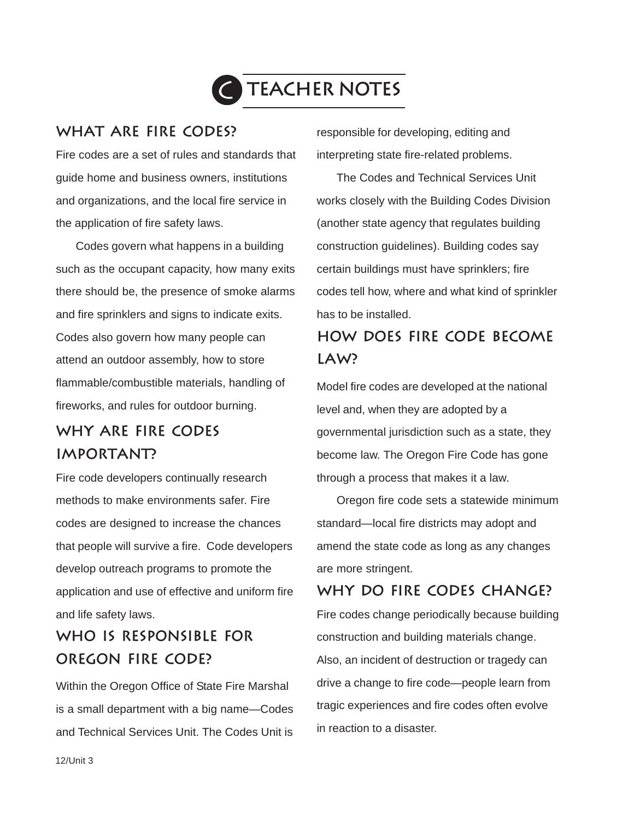

# **What are fire codes?**

Fire codes are a set of rules and standards that guide home and business owners, institutions and organizations, and the local fire service in the application of fire safety laws.

Codes govern what happens in a building such as the occupant capacity, how many exits there should be, the presence of smoke alarms and fire sprinklers and signs to indicate exits. Codes also govern how many people can attend an outdoor assembly, how to store flammable/combustible materials, handling of fireworks, and rules for outdoor burning.

# **why are fire codes important?**

Fire code developers continually research methods to make environments safer. Fire codes are designed to increase the chances that people will survive a fire. Code developers develop outreach programs to promote the application and use of effective and uniform fire and life safety laws.

# **Who is responsible for oregon fire code?**

Within the Oregon Office of State Fire Marshal is a small department with a big name—Codes and Technical Services Unit. The Codes Unit is responsible for developing, editing and interpreting state fire-related problems.

The Codes and Technical Services Unit works closely with the Building Codes Division (another state agency that regulates building construction guidelines). Building codes say certain buildings must have sprinklers; fire codes tell how, where and what kind of sprinkler has to be installed.

# **how does fire code become law?**

Model fire codes are developed at the national level and, when they are adopted by a governmental jurisdiction such as a state, they become law. The Oregon Fire Code has gone through a process that makes it a law.

Oregon fire code sets a statewide minimum standard—local fire districts may adopt and amend the state code as long as any changes are more stringent.

# **Why do fire codes change?**

Fire codes change periodically because building construction and building materials change. Also, an incident of destruction or tragedy can drive a change to fire code—people learn from tragic experiences and fire codes often evolve in reaction to a disaster.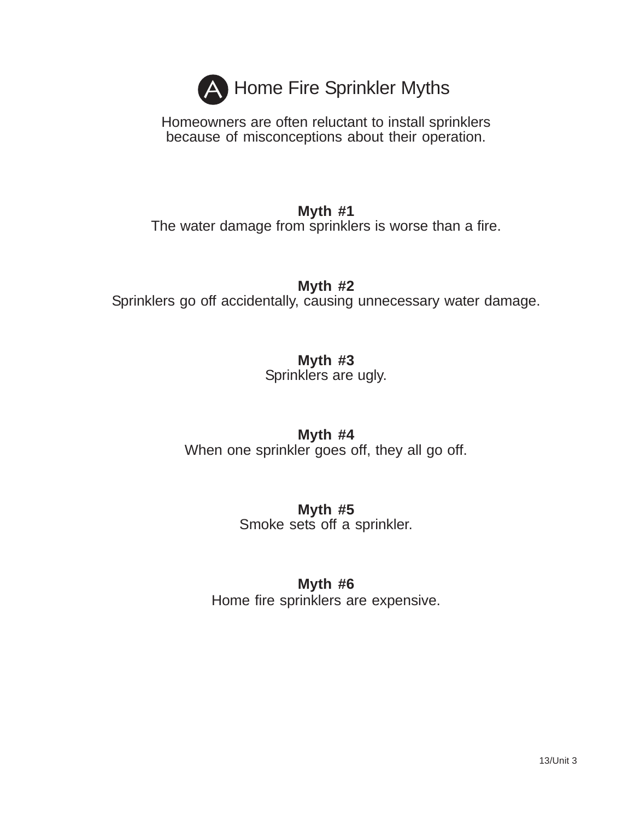

Homeowners are often reluctant to install sprinklers because of misconceptions about their operation.

# **Myth #1**

The water damage from sprinklers is worse than a fire.

**Myth #2**

Sprinklers go off accidentally, causing unnecessary water damage.

**Myth #3**

Sprinklers are ugly.

# **Myth #4**

When one sprinkler goes off, they all go off.

# **Myth #5** Smoke sets off a sprinkler.

# **Myth #6**

Home fire sprinklers are expensive.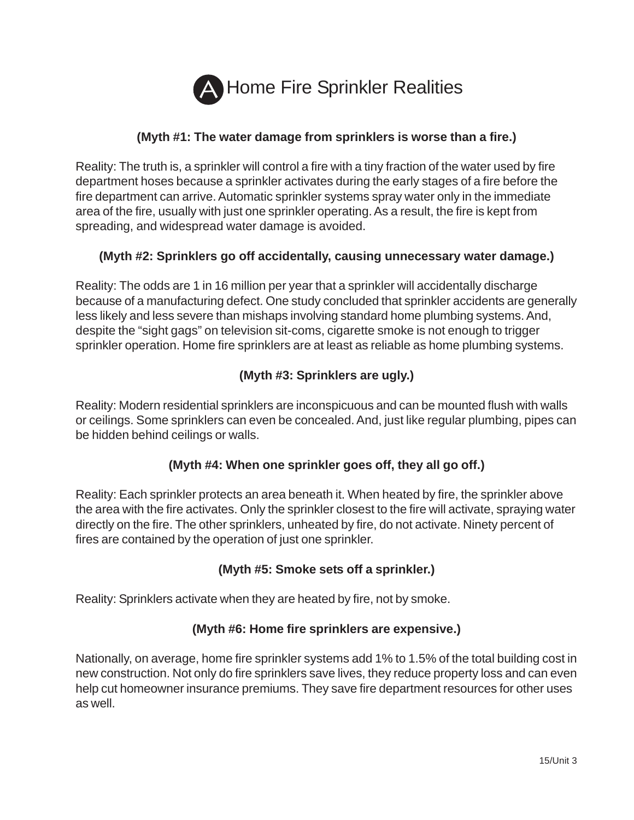

## **(Myth #1: The water damage from sprinklers is worse than a fire.)**

Reality: The truth is, a sprinkler will control a fire with a tiny fraction of the water used by fire department hoses because a sprinkler activates during the early stages of a fire before the fire department can arrive. Automatic sprinkler systems spray water only in the immediate area of the fire, usually with just one sprinkler operating. As a result, the fire is kept from spreading, and widespread water damage is avoided.

#### **(Myth #2: Sprinklers go off accidentally, causing unnecessary water damage.)**

Reality: The odds are 1 in 16 million per year that a sprinkler will accidentally discharge because of a manufacturing defect. One study concluded that sprinkler accidents are generally less likely and less severe than mishaps involving standard home plumbing systems. And, despite the "sight gags" on television sit-coms, cigarette smoke is not enough to trigger sprinkler operation. Home fire sprinklers are at least as reliable as home plumbing systems.

## **(Myth #3: Sprinklers are ugly.)**

Reality: Modern residential sprinklers are inconspicuous and can be mounted flush with walls or ceilings. Some sprinklers can even be concealed. And, just like regular plumbing, pipes can be hidden behind ceilings or walls.

#### **(Myth #4: When one sprinkler goes off, they all go off.)**

Reality: Each sprinkler protects an area beneath it. When heated by fire, the sprinkler above the area with the fire activates. Only the sprinkler closest to the fire will activate, spraying water directly on the fire. The other sprinklers, unheated by fire, do not activate. Ninety percent of fires are contained by the operation of just one sprinkler.

#### **(Myth #5: Smoke sets off a sprinkler.)**

Reality: Sprinklers activate when they are heated by fire, not by smoke.

#### **(Myth #6: Home fire sprinklers are expensive.)**

Nationally, on average, home fire sprinkler systems add 1% to 1.5% of the total building cost in new construction. Not only do fire sprinklers save lives, they reduce property loss and can even help cut homeowner insurance premiums. They save fire department resources for other uses as well.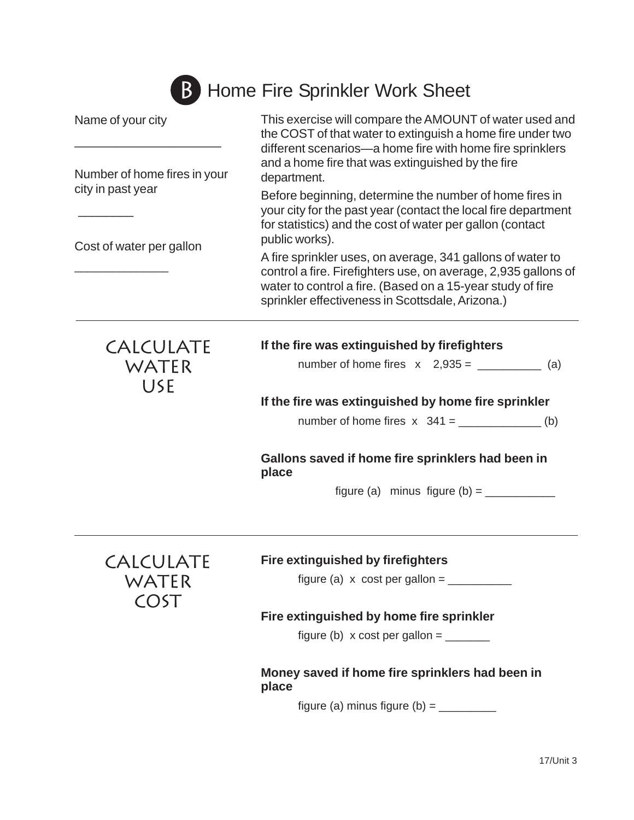# **B** Home Fire Sprinkler Work Sheet

| Name of your city<br>Number of home fires in your<br>city in past year<br>Cost of water per gallon | This exercise will compare the AMOUNT of water used and<br>the COST of that water to extinguish a home fire under two<br>different scenarios-a home fire with home fire sprinklers                                                             |
|----------------------------------------------------------------------------------------------------|------------------------------------------------------------------------------------------------------------------------------------------------------------------------------------------------------------------------------------------------|
|                                                                                                    | and a home fire that was extinguished by the fire<br>department.                                                                                                                                                                               |
|                                                                                                    | Before beginning, determine the number of home fires in<br>your city for the past year (contact the local fire department<br>for statistics) and the cost of water per gallon (contact<br>public works).                                       |
|                                                                                                    | A fire sprinkler uses, on average, 341 gallons of water to<br>control a fire. Firefighters use, on average, 2,935 gallons of<br>water to control a fire. (Based on a 15-year study of fire<br>sprinkler effectiveness in Scottsdale, Arizona.) |
| <b>CALCULATE</b>                                                                                   | If the fire was extinguished by firefighters                                                                                                                                                                                                   |
| WATER<br><b>USE</b>                                                                                | number of home fires $x$ 2,935 = ____________ (a)                                                                                                                                                                                              |
|                                                                                                    | If the fire was extinguished by home fire sprinkler                                                                                                                                                                                            |
|                                                                                                    | number of home fires $x$ 341 = _______________(b)                                                                                                                                                                                              |
|                                                                                                    | Gallons saved if home fire sprinklers had been in<br>place                                                                                                                                                                                     |
|                                                                                                    | figure (a) minus figure (b) = $\frac{1}{2}$                                                                                                                                                                                                    |
|                                                                                                    |                                                                                                                                                                                                                                                |
| <b>CALCULATE</b><br>WATER<br>COST                                                                  | <b>Fire extinguished by firefighters</b><br>figure (a) $x \cos t$ per gallon = _________                                                                                                                                                       |

## **Fire extinguished by home fire sprinkler**

figure (b)  $x \cos t$  per gallon = \_\_\_\_\_\_\_

## **Money saved if home fire sprinklers had been in place**

figure (a) minus figure (b) = \_\_\_\_\_\_\_\_\_